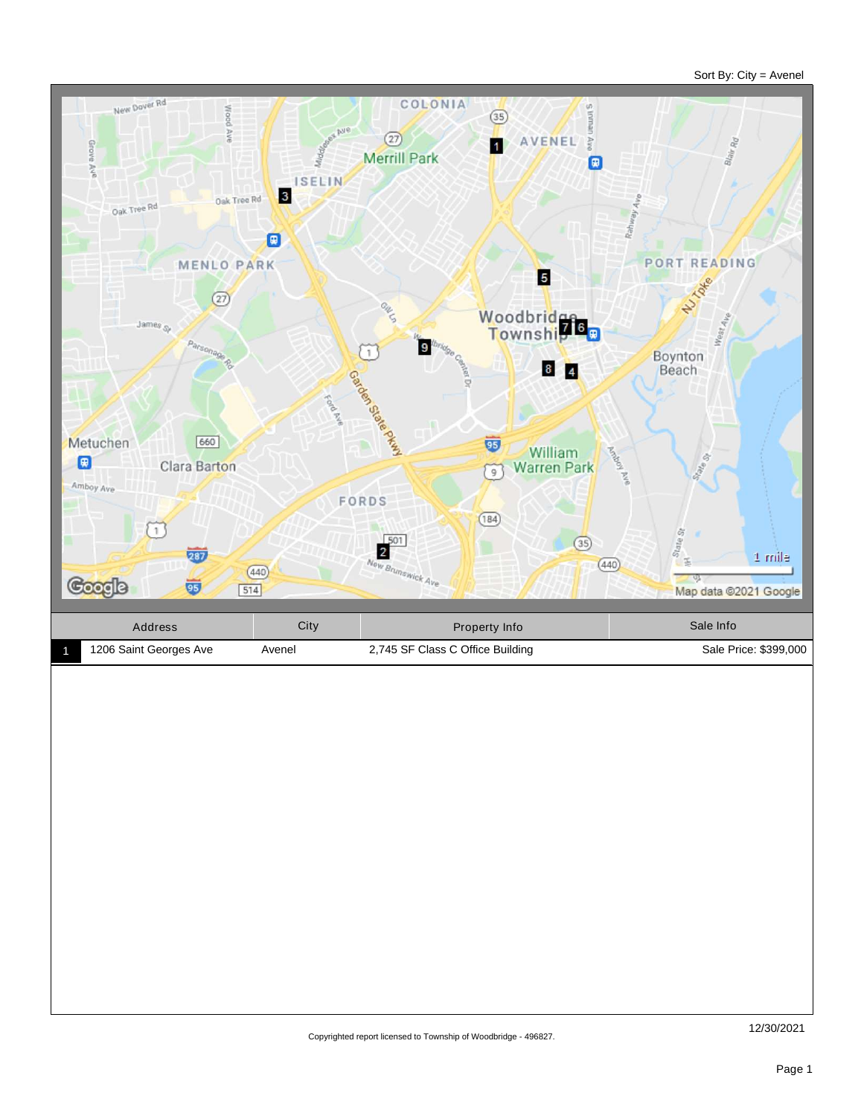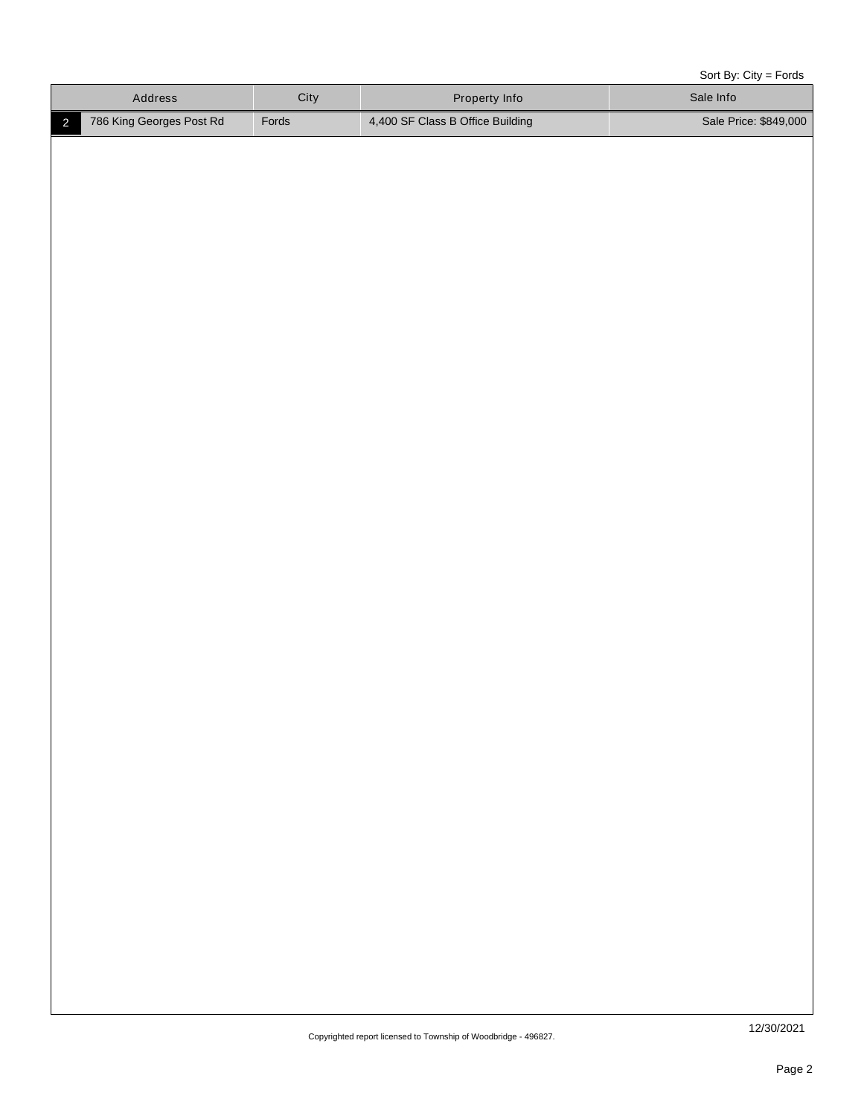Sort By: City = Fords

|                | Address                  | City  | Property Info                    | Sale Info             |
|----------------|--------------------------|-------|----------------------------------|-----------------------|
| $\overline{2}$ | 786 King Georges Post Rd | Fords | 4,400 SF Class B Office Building | Sale Price: \$849,000 |
|                |                          |       |                                  |                       |
|                |                          |       |                                  |                       |
|                |                          |       |                                  |                       |
|                |                          |       |                                  |                       |
|                |                          |       |                                  |                       |
|                |                          |       |                                  |                       |
|                |                          |       |                                  |                       |
|                |                          |       |                                  |                       |
|                |                          |       |                                  |                       |
|                |                          |       |                                  |                       |
|                |                          |       |                                  |                       |
|                |                          |       |                                  |                       |
|                |                          |       |                                  |                       |
|                |                          |       |                                  |                       |
|                |                          |       |                                  |                       |
|                |                          |       |                                  |                       |
|                |                          |       |                                  |                       |
|                |                          |       |                                  |                       |
|                |                          |       |                                  |                       |
|                |                          |       |                                  |                       |
|                |                          |       |                                  |                       |
|                |                          |       |                                  |                       |
|                |                          |       |                                  |                       |
|                |                          |       |                                  |                       |
|                |                          |       |                                  |                       |
|                |                          |       |                                  |                       |
|                |                          |       |                                  |                       |
|                |                          |       |                                  |                       |
|                |                          |       |                                  |                       |
|                |                          |       |                                  |                       |
|                |                          |       |                                  |                       |
|                |                          |       |                                  |                       |
|                |                          |       |                                  |                       |
|                |                          |       |                                  |                       |
|                |                          |       |                                  |                       |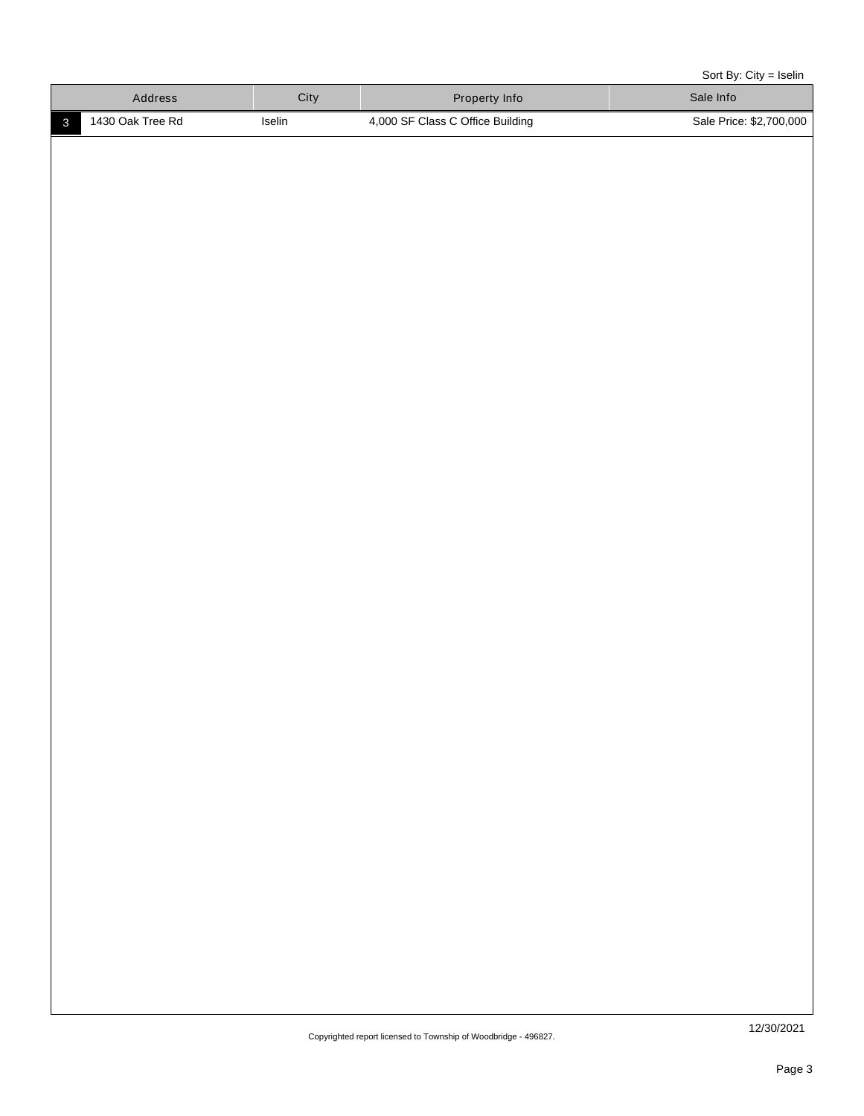Sort By: City = Iselin

| 1430 Oak Tree Rd<br>Iselin<br>4,000 SF Class C Office Building<br>Sale Price: \$2,700,000<br>$\mathbf{3}$ | Address |
|-----------------------------------------------------------------------------------------------------------|---------|
|                                                                                                           |         |
|                                                                                                           |         |
|                                                                                                           |         |
|                                                                                                           |         |
|                                                                                                           |         |
|                                                                                                           |         |
|                                                                                                           |         |
|                                                                                                           |         |
|                                                                                                           |         |
|                                                                                                           |         |
|                                                                                                           |         |
|                                                                                                           |         |
|                                                                                                           |         |
|                                                                                                           |         |
|                                                                                                           |         |
|                                                                                                           |         |
|                                                                                                           |         |
|                                                                                                           |         |
|                                                                                                           |         |
|                                                                                                           |         |
|                                                                                                           |         |
|                                                                                                           |         |
|                                                                                                           |         |
|                                                                                                           |         |
|                                                                                                           |         |
|                                                                                                           |         |
|                                                                                                           |         |
|                                                                                                           |         |
|                                                                                                           |         |
|                                                                                                           |         |
|                                                                                                           |         |
|                                                                                                           |         |
|                                                                                                           |         |
|                                                                                                           |         |
|                                                                                                           |         |
| 12/30/2021<br>Convrighted report licensed to Township of Woodbridge - 196827                              |         |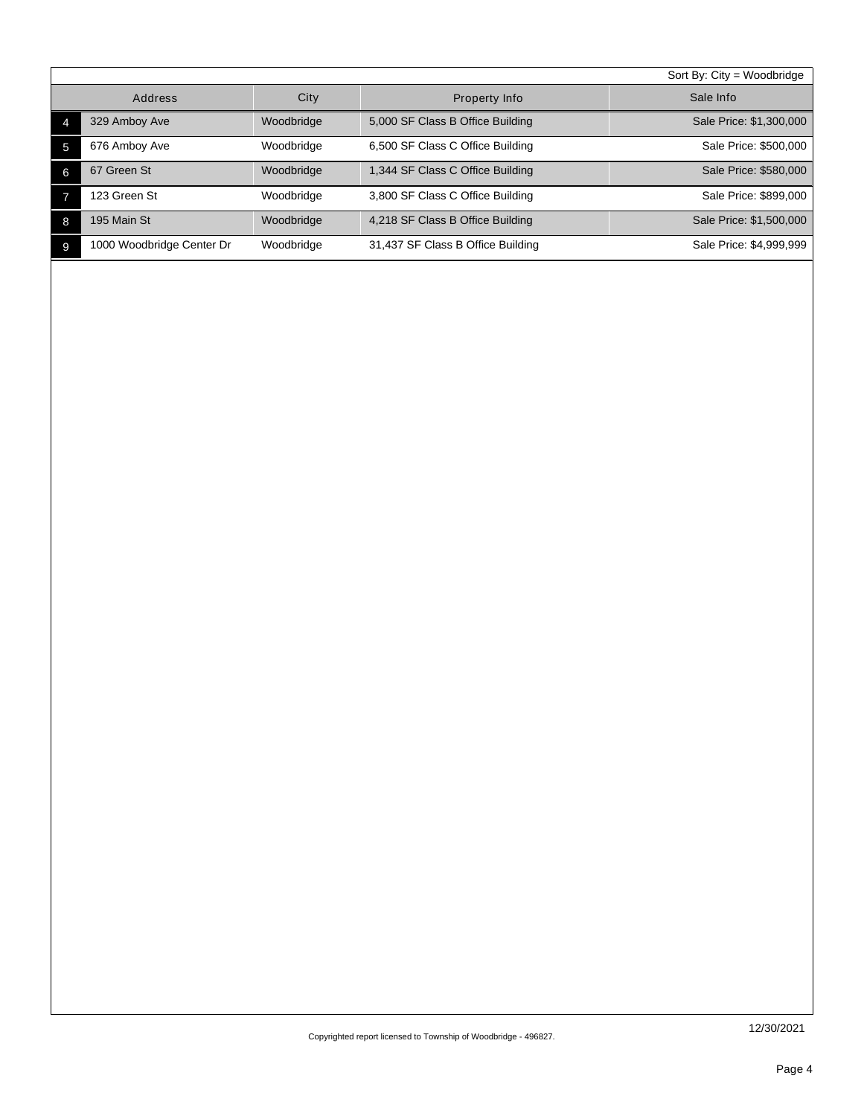|   |                           |            |                                   | Sort By: $City = Woodbridge$ |
|---|---------------------------|------------|-----------------------------------|------------------------------|
|   | Address                   | City       | Property Info                     | Sale Info                    |
|   | 329 Amboy Ave             | Woodbridge | 5,000 SF Class B Office Building  | Sale Price: \$1,300,000      |
| 5 | 676 Amboy Ave             | Woodbridge | 6,500 SF Class C Office Building  | Sale Price: \$500,000        |
| 6 | 67 Green St               | Woodbridge | 1,344 SF Class C Office Building  | Sale Price: \$580,000        |
|   | 123 Green St              | Woodbridge | 3,800 SF Class C Office Building  | Sale Price: \$899,000        |
| 8 | 195 Main St               | Woodbridge | 4,218 SF Class B Office Building  | Sale Price: \$1,500,000      |
| 9 | 1000 Woodbridge Center Dr | Woodbridge | 31,437 SF Class B Office Building | Sale Price: \$4,999,999      |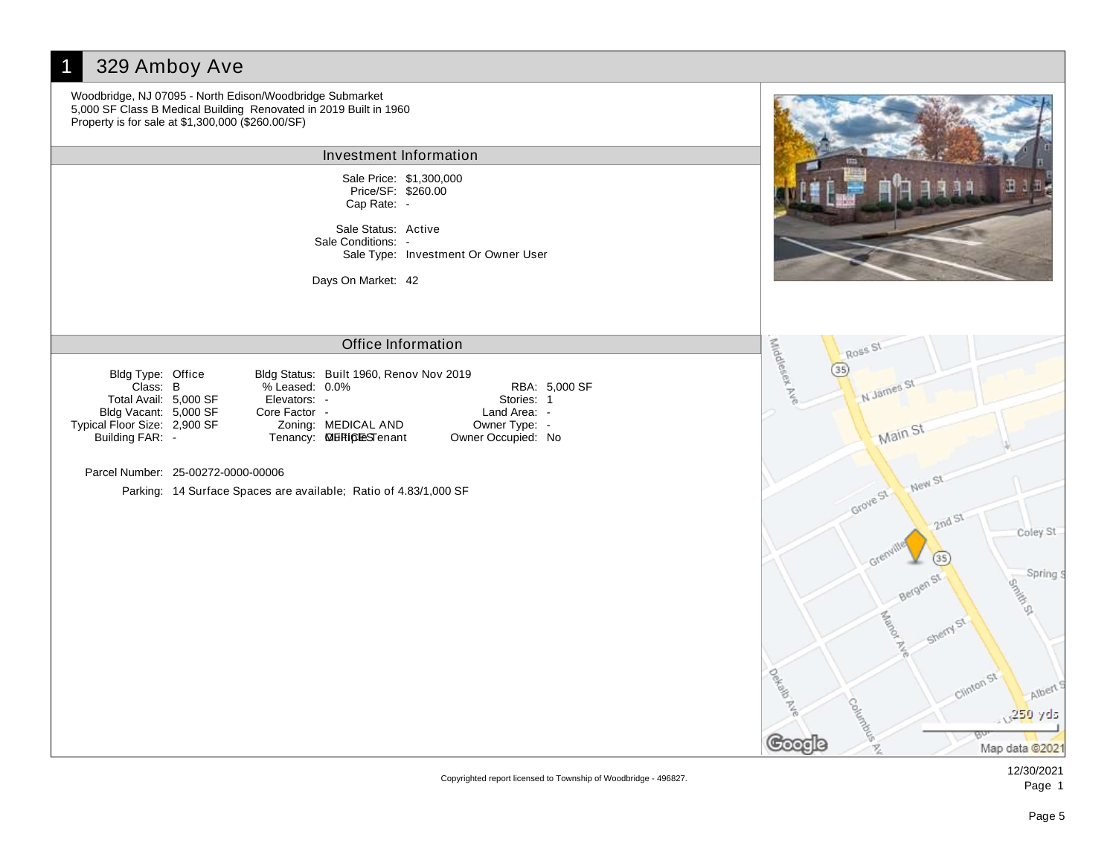#### 329 Amboy Ave Woodbridge, NJ 07095 - North Edison/Woodbridge Submarket 5,000 SF Class B Medical Building Renovated in 2019 Built in 1960 Property is for sale at \$1,300,000 (\$260.00/SF) Investment Information Sale Price: \$1,300,000 Price/SF: \$260.00 Cap Rate: - Sale Status: Active Sale Conditions: - Sale Type: Investment Or Owner User Days On Market: 42 Middlesek Ne Office Information Ross St  $(35)$ Bldg Status: Built 1960, Renov Nov 2019 Bldg Type: Office N James St Class: % Leased: RBA: B 0.0% 5,000 SF Total Avail: 5,000 SF Elevators: - Stories: 1 Bldg Vacant: 5,000 SF Core Factor - Land Area: -Typical Floor Size: 2,900 SF Zoning: MEDICAL AND Owner Type: - Main St Tenancy: **MERICLESTenant** Building FAR: - **MERICESTenant** Owner Occupied: No Parcel Number: 25-00272-0000-00006 New St Parking: 14 Surface Spaces are available; Ratio of 4.83/1,000 SF Grove St 2nd St Coley St  $(35)$ Spring  $\epsilon$ Seminar S ē, **Deltar** Albert 250 yds Chuna ပတ္ဝင Map data @2021

Copyrighted report licensed to Township of Woodbridge - 496827.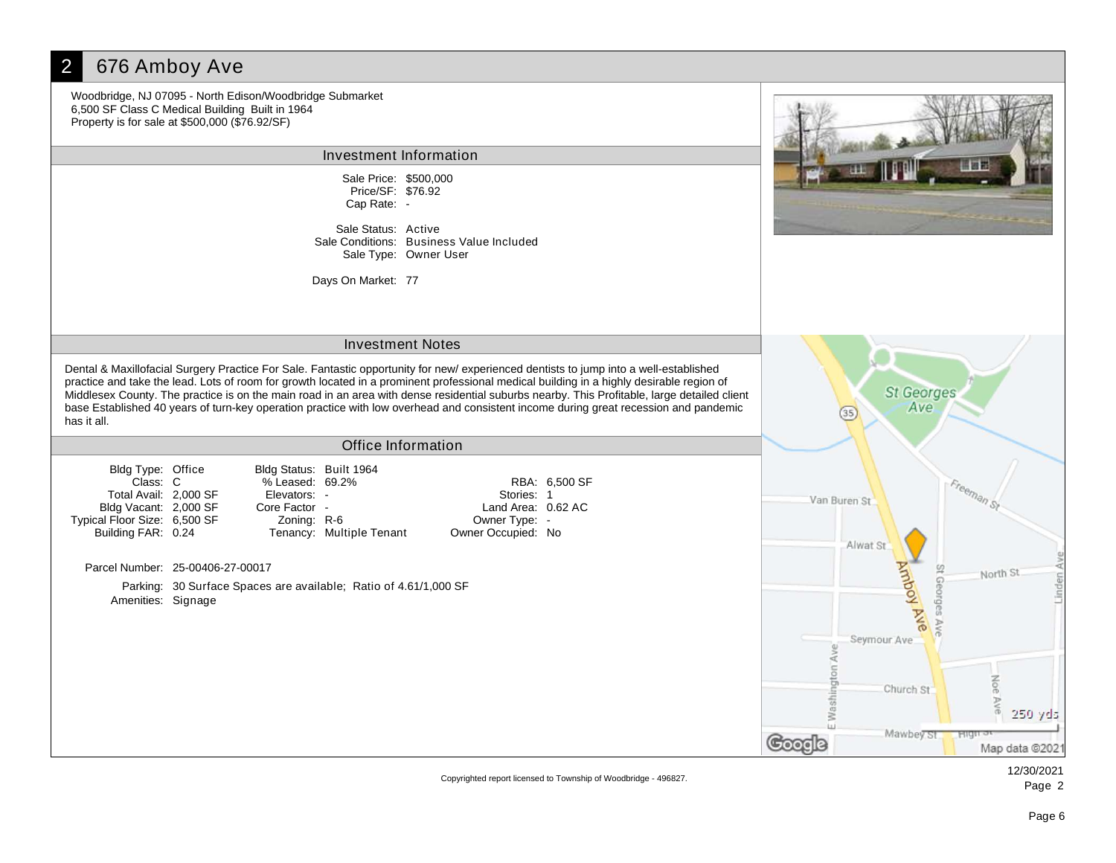#### 2 676 Amboy Ave Woodbridge, NJ 07095 - North Edison/Woodbridge Submarket 6,500 SF Class C Medical Building Built in 1964 Property is for sale at \$500,000 (\$76.92/SF) Investment Information Sale Price: \$500,000 Price/SF: \$76.92 Cap Rate: - Sale Status: Active Sale Conditions: Business Value Included Sale Type: Owner User Days On Market: 77 Investment Notes Dental & Maxillofacial Surgery Practice For Sale. Fantastic opportunity for new/ experienced dentists to jump into a well-established practice and take the lead. Lots of room for growth located in a prominent professional medical building in a highly desirable region of **St Georges** Middlesex County. The practice is on the main road in an area with dense residential suburbs nearby. This Profitable, large detailed client base Established 40 years of turn-key operation practice with low overhead and consistent income during great recession and pandemic Ave  $(35)$ has it all. Office Information Bldg Type: Office Bldg Status: Built 1964 Class: % Leased: RBA: C 69.2% 6,500 SF Freeman St Total Avail: 2,000 SF Elevators: - Stories: 1 Van Buren St Bldg Vacant: 2,000 SF Core Factor - Land Area: 0.62 AC Typical Floor Size: 6,500 SF Zoning: R-6 Owner Type: - Building FAR: 0.24 Tenancy: Multiple Tenant Owner Occupied: No Alwat St Amboy Ave Parcel Number: 25-00406-27-00017 St Geo North St Parking: 30 Surface Spaces are available; Ratio of 4.61/1,000 SF Amenities: Signage Seymour Ave Church St Waeh 250 yds Mawbey St.  $Hig$ Google Map data @2021

Copyrighted report licensed to Township of Woodbridge - 496827.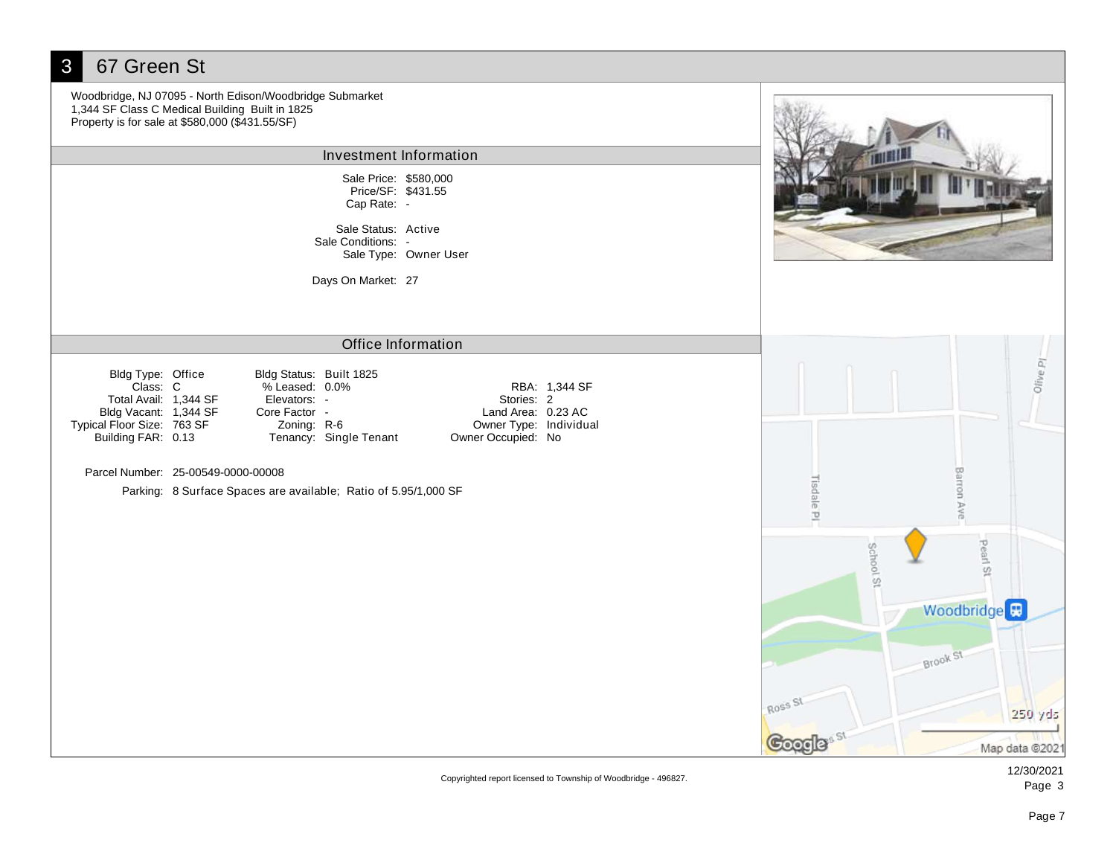| 67 Green St<br>3                                                                                                                    |                                                                                                                                                                |                                                                                                   |                      |                                                             |
|-------------------------------------------------------------------------------------------------------------------------------------|----------------------------------------------------------------------------------------------------------------------------------------------------------------|---------------------------------------------------------------------------------------------------|----------------------|-------------------------------------------------------------|
|                                                                                                                                     | Woodbridge, NJ 07095 - North Edison/Woodbridge Submarket<br>1,344 SF Class C Medical Building Built in 1825<br>Property is for sale at \$580,000 (\$431.55/SF) |                                                                                                   |                      |                                                             |
|                                                                                                                                     | Investment Information                                                                                                                                         |                                                                                                   |                      |                                                             |
|                                                                                                                                     | Sale Price: \$580,000<br>Price/SF: \$431.55<br>Cap Rate: -                                                                                                     |                                                                                                   |                      |                                                             |
|                                                                                                                                     | Sale Status: Active<br>Sale Conditions: -                                                                                                                      | Sale Type: Owner User                                                                             |                      |                                                             |
|                                                                                                                                     | Days On Market: 27                                                                                                                                             |                                                                                                   |                      |                                                             |
|                                                                                                                                     |                                                                                                                                                                | <b>Office Information</b>                                                                         |                      |                                                             |
| Bldg Type: Office<br>Class: C<br>Total Avail: 1,344 SF<br>Bldg Vacant: 1,344 SF<br>Typical Floor Size: 763 SF<br>Building FAR: 0.13 | Bldg Status: Built 1825<br>% Leased: 0.0%<br>Elevators: -<br>Core Factor -<br>Zoning: R-6<br>Tenancy: Single Tenant                                            | RBA: 1,344 SF<br>Stories: 2<br>Land Area: 0.23 AC<br>Owner Type: Individual<br>Owner Occupied: No |                      | Olive PI                                                    |
|                                                                                                                                     | Parcel Number: 25-00549-0000-00008                                                                                                                             |                                                                                                   |                      |                                                             |
|                                                                                                                                     | Parking: 8 Surface Spaces are available; Ratio of 5.95/1,000 SF                                                                                                |                                                                                                   | Tisdale PI           | Barron Ave                                                  |
|                                                                                                                                     |                                                                                                                                                                |                                                                                                   | School St<br>Ross St | Pearl St<br>Woodbridge <sup>E</sup><br>Brook St.<br>250 yds |
|                                                                                                                                     |                                                                                                                                                                |                                                                                                   | <b>Google</b>        | Map data @202                                               |

Copyrighted report licensed to Township of Woodbridge - 496827.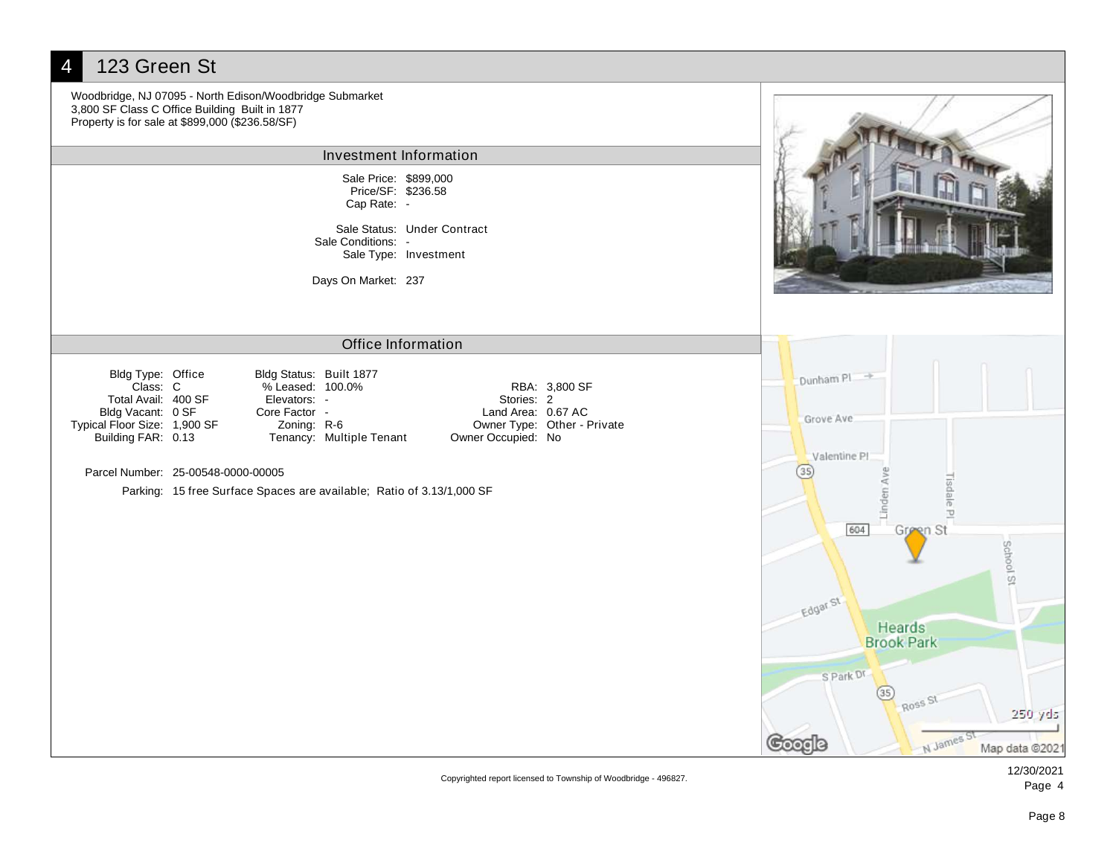

Copyrighted report licensed to Township of Woodbridge - 496827.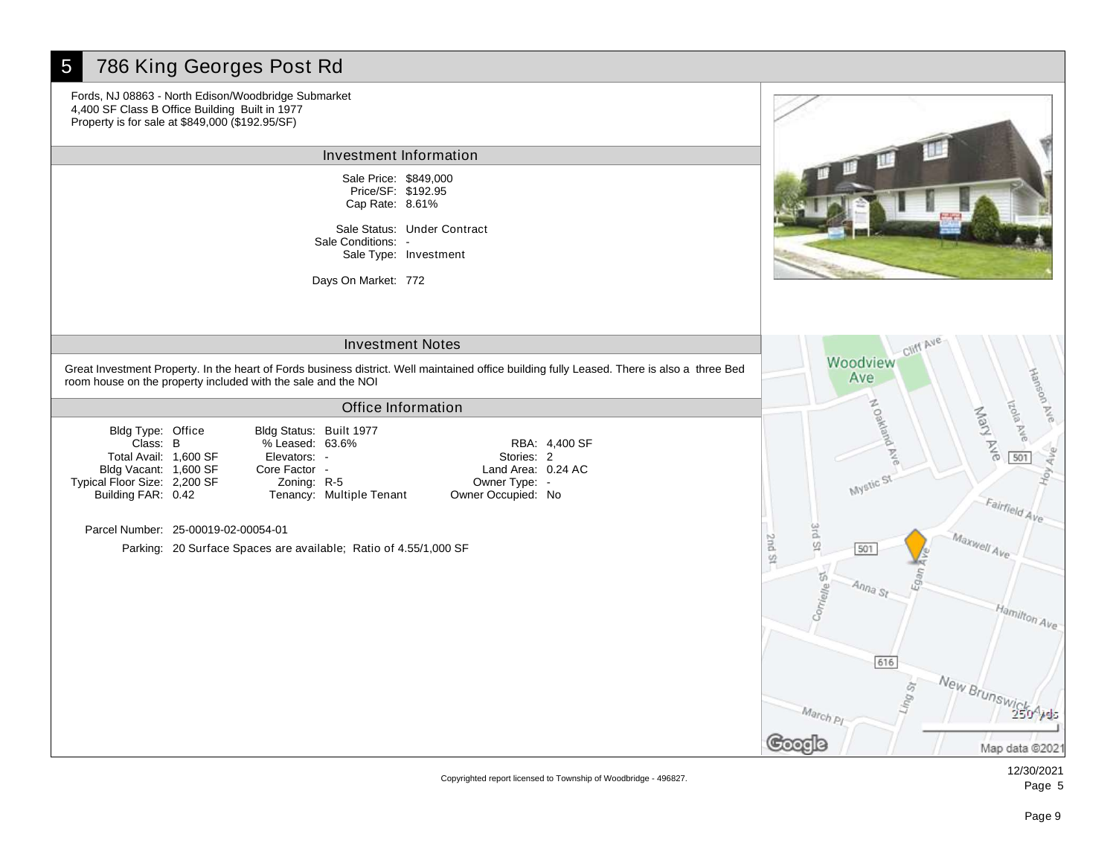# 5 786 King Georges Post Rd

Fords, NJ 08863 - North Edison/Woodbridge Submarket 4,400 SF Class B Office Building Built in 1977 Property is for sale at \$849,000 (\$192.95/SF)

Investment Information

Sale Price: \$849,000 Cap Rate: 8.61% Price/SF: \$192.95

Sale Status: Under Contract Sale Type: Investment Sale Conditions: -

Days On Market: 772

# Investment Notes

Great Investment Property. In the heart of Fords business district. Well maintained office building fully Leased. There is also a three Bed room house on the property included with the sale and the NOI

### Office Information

Class: % Leased: RBA: B 63.6% 4,400 SF Bldg Status: Built 1977 Elevators: - Core Factor - Zoning: R-5 Owner Occupied: No Land Area: 0.24 AC Stories: 2 Owner Type: - Tenancy: Multiple Tenant

Parcel Number: 25-00019-02-00054-01

Bldg Type: Office

Bldg Vacant: 1,600 SF Total Avail: 1,600 SF

Typical Floor Size: 2,200 SF Building FAR: 0.42

Parking: 20 Surface Spaces are available; Ratio of 4.55/1,000 SF





Copyrighted report licensed to Township of Woodbridge - 496827.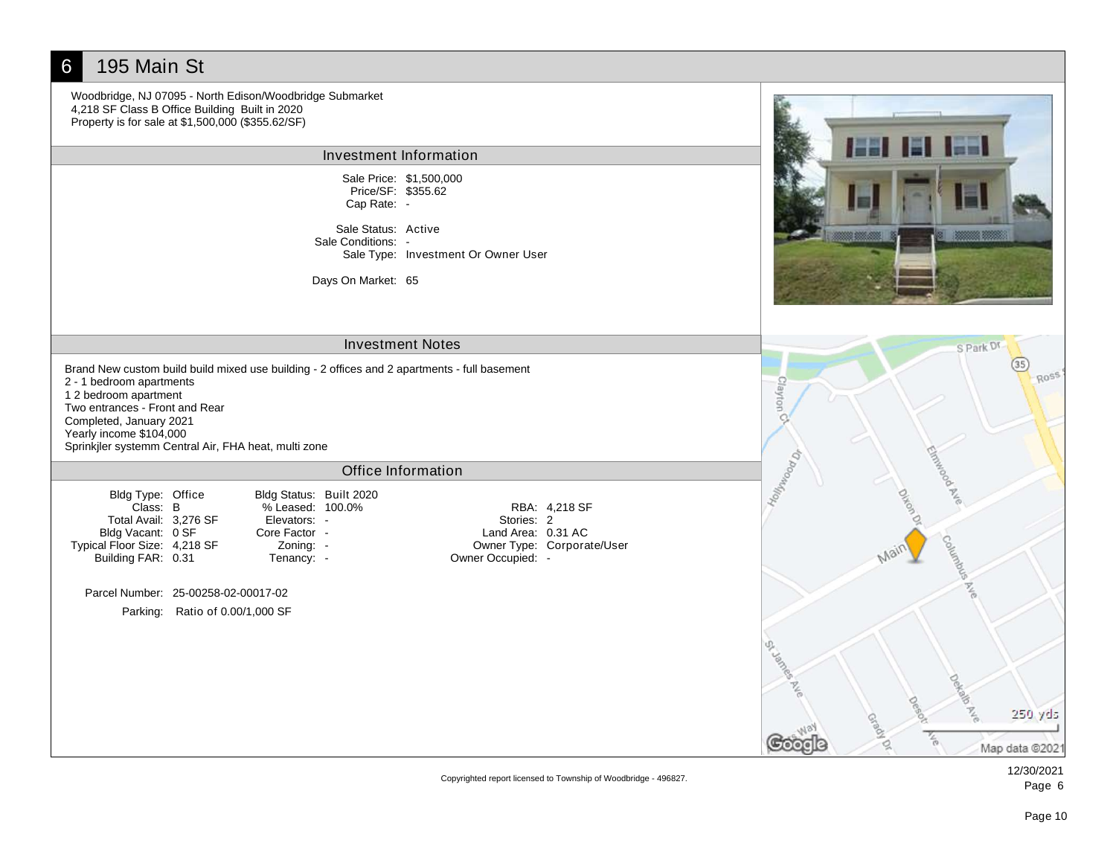## 6 195 Main St Woodbridge, NJ 07095 - North Edison/Woodbridge Submarket 4,218 SF Class B Office Building Built in 2020 Property is for sale at \$1,500,000 (\$355.62/SF) Investment Information Sale Price: \$1,500,000 Price/SF: \$355.62 Cap Rate: - Sale Status: Active Sale Conditions: -Sale Type: Investment Or Owner User Days On Market: 65 Investment Notes S Park D Brand New custom build build mixed use building - 2 offices and 2 apartments - full basement ROSS 2 - 1 bedroom apartments Clayton 1 2 bedroom apartment Two entrances - Front and Rear Completed, January 2021 Yearly income \$104,000 Sprinkjler systemm Central Air, FHA heat, multi zone Holyton Br Office Information Bldg Status: Built 2020 Bldg Type: Office Class: % Leased: RBA: B 100.0% 4,218 SF Total Avail: 3,276 SF Elevators: - Stories: 2 Bldg Vacant: 0 SF Core Factor - Land Area: 0.31 AC Typical Floor Size: 4,218 SF Owner Type: Corporate/User Zoning: - Building FAR: 0.31 Tenancy: -Owner Occupied: - Parcel Number: 25-00258-02-00017-02 Parking: Ratio of 0.00/1,000 SF 250 yds Map data @2021

Copyrighted report licensed to Township of Woodbridge - 496827.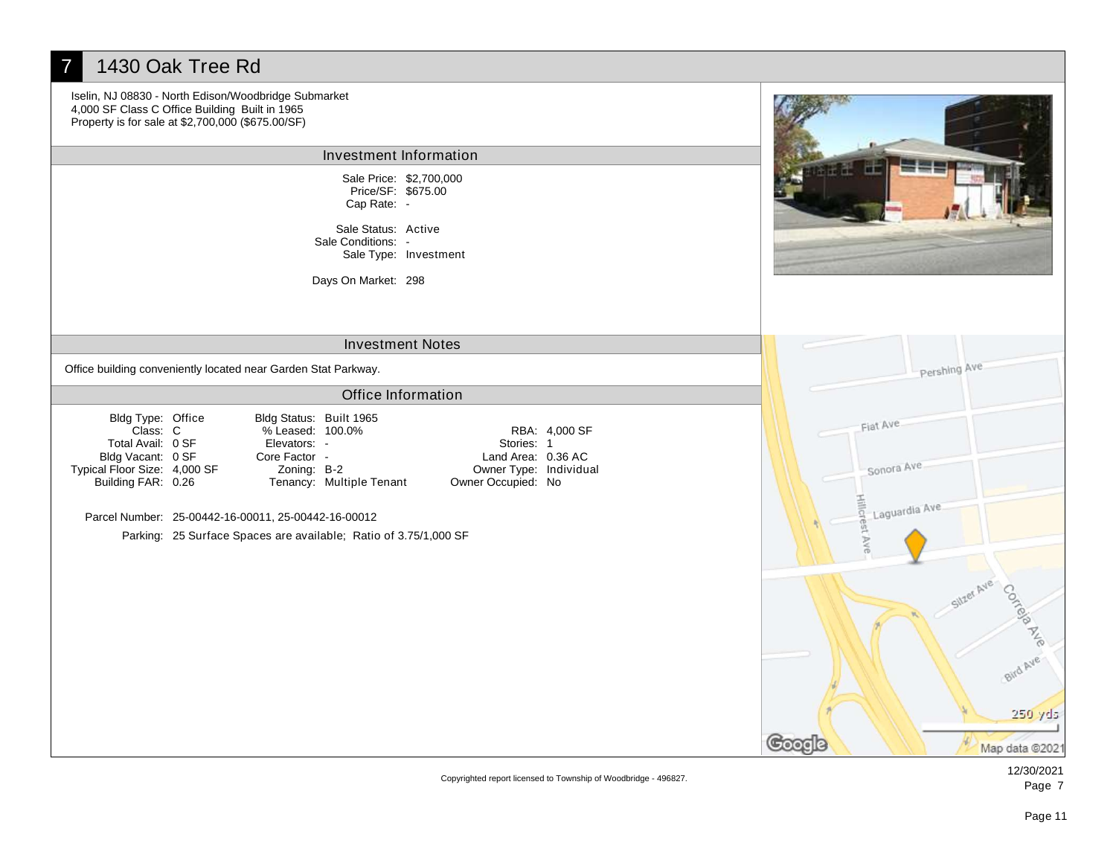### 7 1430 Oak Tree Rd Iselin, NJ 08830 - North Edison/Woodbridge Submarket 4,000 SF Class C Office Building Built in 1965 Property is for sale at \$2,700,000 (\$675.00/SF) Investment Information Sale Price: \$2,700,000 Price/SF: \$675.00 Cap Rate: - Sale Status: Active Sale Conditions: - Sale Type: Investment Days On Market: 298 Investment Notes Pershing Ave Office building conveniently located near Garden Stat Parkway. Office Information Bldg Status: Built 1965 Bldg Type: Office Fiat Ave Class: % Leased: RBA: C 100.0% 4,000 SF Total Avail: 0 SF Elevators: - Stories: 1 Bldg Vacant: 0 SF Core Factor - Land Area: 0.36 AC Sonora Ave Typical Floor Size: 4,000 SF Zoning: B-2 Owner Type: Individual Building FAR: 0.26 Tenancy: Multiple Tenant Owner Occupied: No Hillcr Laguardia Ave Parcel Number: 25-00442-16-00011, 25-00442-16-00012 GS<sub>0</sub> Parking: 25 Surface Spaces are available; Ratio of 3.75/1,000 SF Þ Costele **ANS** Bird Ave 250 yds ೨೦೦೦l Map data @2021

Copyrighted report licensed to Township of Woodbridge - 496827.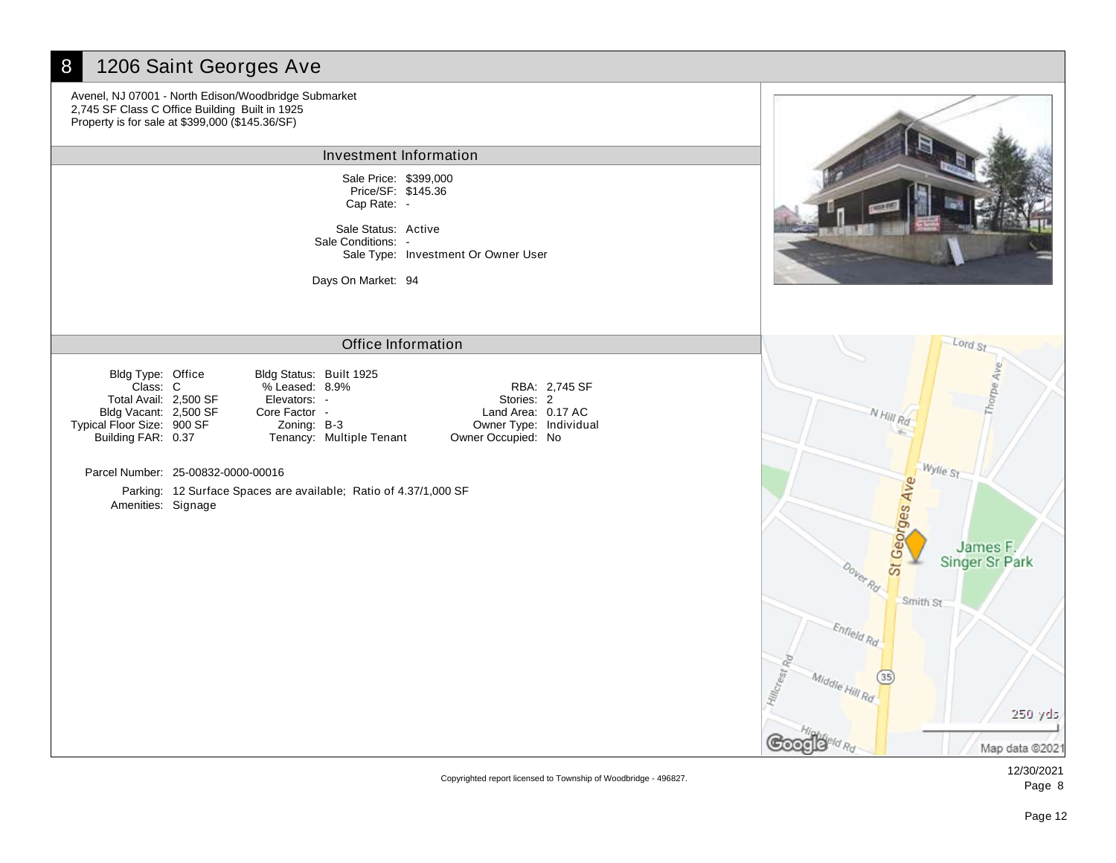# 8 1206 Saint Georges Ave

Avenel, NJ 07001 - North Edison/Woodbridge Submarket 2,745 SF Class C Office Building Built in 1925 Property is for sale at \$399,000 (\$145.36/SF)

#### Investment Information

Sale Price: \$399,000 Cap Rate: - Price/SF: \$145.36

Sale Status: Active Sale Type: Investment Or Owner User Sale Conditions: -

Days On Market: 94

## Office Information

Bldg Type: Office Bldg Vacant: 2,500 SF Total Avail: 2,500 SF Typical Floor Size: 900 SF Building FAR: 0.37

Class: % Leased: RBA: C 8.9% 2,745 SF Bldg Status: Built 1925 Elevators: - Core Factor -

Zoning: B-3

Tenancy: Multiple Tenant

Owner Occupied: No Land Area: 0.17 AC Stories: 2 Owner Type: Individual

Parcel Number: 25-00832-0000-00016

Parking: 12 Surface Spaces are available; Ratio of 4.37/1,000 SF Amenities: Signage



Copyrighted report licensed to Township of Woodbridge - 496827.